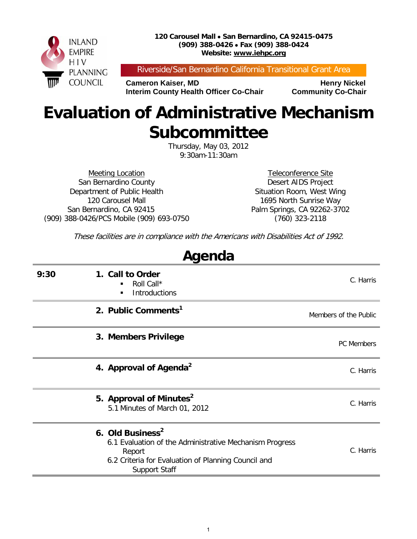

**120 Carousel Mall** • **San Bernardino, CA 92415-0475 (909) 388-0426** • **Fax (909) 388-0424 Website: www.iehpc.org**

Riverside/San Bernardino California Transitional Grant Area

**Cameron Kaiser, MD<br>Interim County Health Officer Co-Chair Community Co-Chair Interim County Health Officer Co-Chair** 

## **Evaluation of Administrative Mechanism Subcommittee**

Thursday, May 03, 2012 9:30am-11:30am

Meeting Location San Bernardino County Department of Public Health 120 Carousel Mall San Bernardino, CA 92415 (909) 388-0426/PCS Mobile (909) 693-0750

Teleconference Site Desert AIDS Project Situation Room, West Wing 1695 North Sunrise Way Palm Springs, CA 92262-3702 (760) 323-2118

These facilities are in compliance with the Americans with Disabilities Act of 1992.

| agenda |                                                                                                                                                                                  |                       |  |
|--------|----------------------------------------------------------------------------------------------------------------------------------------------------------------------------------|-----------------------|--|
| 9:30   | 1. Call to Order<br>Roll Call*<br>Introductions<br>٠                                                                                                                             | C. Harris             |  |
|        | 2. Public Comments <sup>1</sup>                                                                                                                                                  | Members of the Public |  |
|        | 3. Members Privilege                                                                                                                                                             | <b>PC</b> Members     |  |
|        | 4. Approval of Agenda <sup>2</sup>                                                                                                                                               | C. Harris             |  |
|        | 5. Approval of Minutes <sup>2</sup><br>5.1 Minutes of March 01, 2012                                                                                                             | C. Harris             |  |
|        | 6. Old Business <sup>2</sup><br>6.1 Evaluation of the Administrative Mechanism Progress<br>Report<br>6.2 Criteria for Evaluation of Planning Council and<br><b>Support Staff</b> | C. Harris             |  |

**Agenda**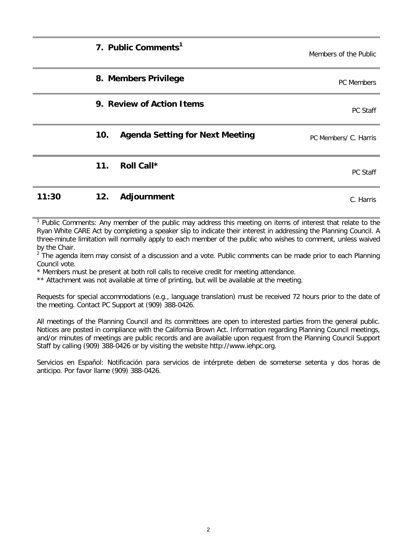|       | 7. Public Comments <sup>1</sup>               | Members of the Public |
|-------|-----------------------------------------------|-----------------------|
|       | 8. Members Privilege                          | <b>PC</b> Members     |
|       | 9. Review of Action Items                     | PC Staff              |
|       | 10.<br><b>Agenda Setting for Next Meeting</b> | PC Members/ C. Harris |
|       | 11.<br>Roll Call*                             | PC Staff              |
| 11:30 | 12.<br>Adjournment                            | C. Harris             |

 $1$  Public Comments: Any member of the public may address this meeting on items of interest that relate to the Ryan White CARE Act by completing a speaker slip to indicate their interest in addressing the Planning Council. A three-minute limitation will normally apply to each member of the public who wishes to comment, unless waived by the Chair.

 $<sup>2</sup>$  The agenda item may consist of a discussion and a vote. Public comments can be made prior to each Planning</sup> Council vote.

\* Members must be present at both roll calls to receive credit for meeting attendance.

\*\* Attachment was not available at time of printing, but will be available at the meeting.

Requests for special accommodations (e.g., language translation) must be received 72 hours prior to the date of the meeting. Contact PC Support at (909) 388-0426.

All meetings of the Planning Council and its committees are open to interested parties from the general public. Notices are posted in compliance with the California Brown Act. Information regarding Planning Council meetings, and/or minutes of meetings are public records and are available upon request from the Planning Council Support Staff by calling (909) 388-0426 or by visiting the website http://www.iehpc.org.

Servicios en Español: Notificación para servicios de intérprete deben de someterse setenta y dos horas de anticipo. Por favor llame (909) 388-0426.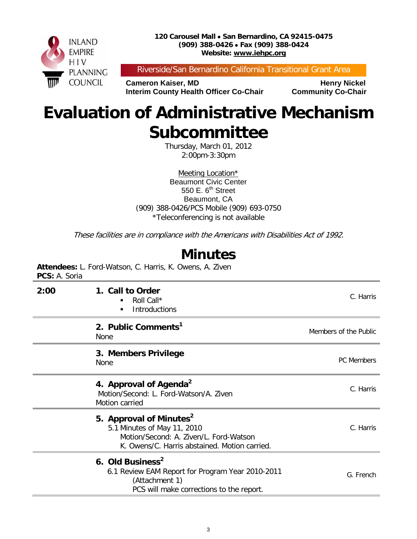

Riverside/San Bernardino California Transitional Grant Area

**Cameron Kaiser, MD**<br> **Interim County Health Officer Co-Chair** Community Co-Chair **Interim County Health Officer Co-Chair** 

## **Evaluation of Administrative Mechanism Subcommittee**

Thursday, March 01, 2012 2:00pm-3:30pm

Meeting Location\* Beaumont Civic Center 550  $E. 6<sup>th</sup> Street$ Beaumont, CA (909) 388-0426/PCS Mobile (909) 693-0750 \*Teleconferencing is not available

These facilities are in compliance with the Americans with Disabilities Act of 1992.

## **Minutes**

**Attendees:** L. Ford-Watson, C. Harris, K. Owens, A. Ziven **PCS:** A. Soria

| 2:00 | 1. Call to Order<br>Roll Call*<br>٠<br><b>Introductions</b><br>٠                                                                                              | C. Harris             |
|------|---------------------------------------------------------------------------------------------------------------------------------------------------------------|-----------------------|
|      | 2. Public Comments <sup>1</sup><br><b>None</b>                                                                                                                | Members of the Public |
|      | 3. Members Privilege<br><b>None</b>                                                                                                                           | <b>PC</b> Members     |
|      | 4. Approval of Agenda <sup>2</sup><br>Motion/Second: L. Ford-Watson/A. Ziven<br>Motion carried                                                                | C. Harris             |
|      | 5. Approval of Minutes <sup>2</sup><br>5.1 Minutes of May 11, 2010<br>Motion/Second: A. Ziven/L. Ford-Watson<br>K. Owens/C. Harris abstained. Motion carried. | C. Harris             |
|      | 6. Old Business <sup>2</sup><br>6.1 Review EAM Report for Program Year 2010-2011<br>(Attachment 1)<br>PCS will make corrections to the report.                | G. French             |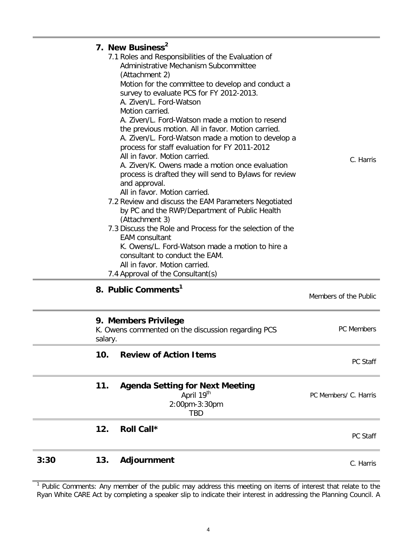## **7. New Business<sup>2</sup>**

| 8. Public Comments <sup>1</sup>                                         |           |
|-------------------------------------------------------------------------|-----------|
| 7.4 Approval of the Consultant(s)                                       |           |
| All in favor. Motion carried.                                           |           |
| consultant to conduct the EAM.                                          |           |
| K. Owens/L. Ford-Watson made a motion to hire a                         |           |
| <b>EAM</b> consultant                                                   |           |
| 7.3 Discuss the Role and Process for the selection of the               |           |
| (Attachment 3)                                                          |           |
| by PC and the RWP/Department of Public Health                           |           |
| 7.2 Review and discuss the EAM Parameters Negotiated                    |           |
| All in favor. Motion carried.                                           |           |
| process is drafted they will send to Bylaws for review<br>and approval. |           |
| A. Ziven/K. Owens made a motion once evaluation                         |           |
| All in favor. Motion carried.                                           | C. Harris |
| process for staff evaluation for FY 2011-2012                           |           |
| A. Ziven/L. Ford-Watson made a motion to develop a                      |           |
| the previous motion. All in favor. Motion carried.                      |           |
| A. Ziven/L. Ford-Watson made a motion to resend                         |           |
| Motion carried.                                                         |           |
| A. Ziven/L. Ford-Watson                                                 |           |
| survey to evaluate PCS for FY 2012-2013.                                |           |
| Motion for the committee to develop and conduct a                       |           |
| (Attachment 2)                                                          |           |
| Administrative Mechanism Subcommittee                                   |           |
| 7.1 Roles and Responsibilities of the Evaluation of                     |           |

|      |         |                                                                                     | Members of the Public |
|------|---------|-------------------------------------------------------------------------------------|-----------------------|
|      | salary. | 9. Members Privilege<br>K. Owens commented on the discussion regarding PCS          | <b>PC Members</b>     |
|      | 10.     | <b>Review of Action Items</b>                                                       | PC Staff              |
|      | 11.     | <b>Agenda Setting for Next Meeting</b><br>April 19th<br>2:00pm-3:30pm<br><b>TBD</b> | PC Members/ C. Harris |
|      | 12.     | Roll Call*                                                                          | PC Staff              |
| 3:30 | 13.     | Adjournment                                                                         | C. Harris             |

<sup>1</sup> Public Comments: Any member of the public may address this meeting on items of interest that relate to the Ryan White CARE Act by completing a speaker slip to indicate their interest in addressing the Planning Council. A